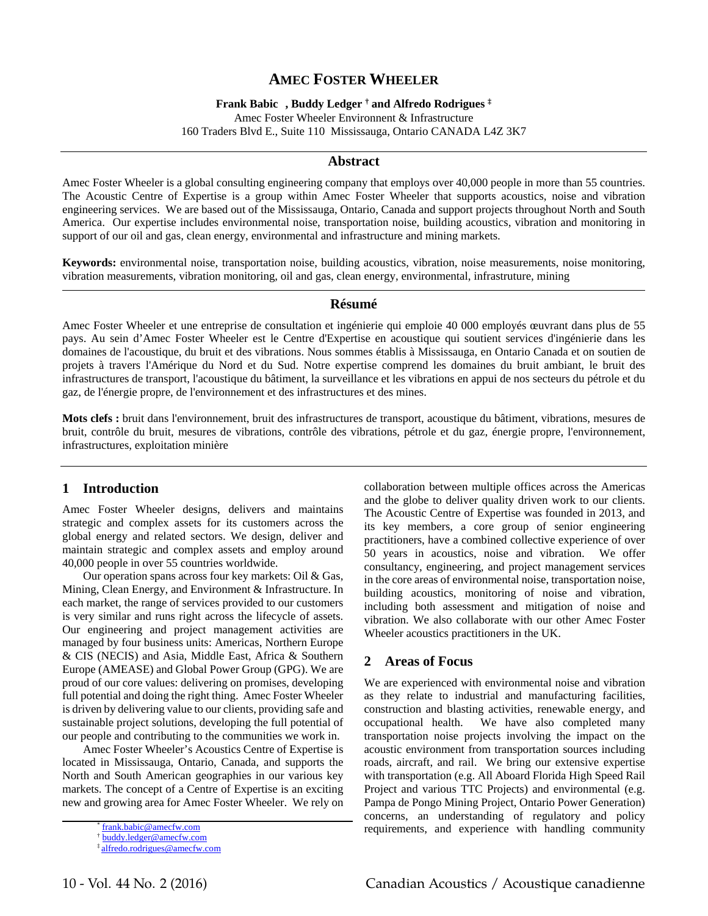# **AMEC FOSTER WHEELER**

**Frank Babic , Buddy Ledger † and Alfredo Rodrigues ‡**

Amec Foster Wheeler Environnent & Infrastructure 160 Traders Blvd E., Suite 110 Mississauga, Ontario CANADA L4Z 3K7

#### **Abstract**

Amec Foster Wheeler is a global consulting engineering company that employs over 40,000 people in more than 55 countries. The Acoustic Centre of Expertise is a group within Amec Foster Wheeler that supports acoustics, noise and vibration engineering services. We are based out of the Mississauga, Ontario, Canada and support projects throughout North and South America. Our expertise includes environmental noise, transportation noise, building acoustics, vibration and monitoring in support of our oil and gas, clean energy, environmental and infrastructure and mining markets.

**Keywords:** environmental noise, transportation noise, building acoustics, vibration, noise measurements, noise monitoring, vibration measurements, vibration monitoring, oil and gas, clean energy, environmental, infrastruture, mining

### **Résumé**

Amec Foster Wheeler et une entreprise de consultation et ingénierie qui emploie 40 000 employés œuvrant dans plus de 55 pays. Au sein d'Amec Foster Wheeler est le Centre d'Expertise en acoustique qui soutient services d'ingénierie dans les domaines de l'acoustique, du bruit et des vibrations. Nous sommes établis à Mississauga, en Ontario Canada et on soutien de projets à travers l'Amérique du Nord et du Sud. Notre expertise comprend les domaines du bruit ambiant, le bruit des infrastructures de transport, l'acoustique du bâtiment, la surveillance et les vibrations en appui de nos secteurs du pétrole et du gaz, de l'énergie propre, de l'environnement et des infrastructures et des mines.

**Mots clefs :** bruit dans l'environnement, bruit des infrastructures de transport, acoustique du bâtiment, vibrations, mesures de bruit, contrôle du bruit, mesures de vibrations, contrôle des vibrations, pétrole et du gaz, énergie propre, l'environnement, infrastructures, exploitation minière

### **1 Introduction**

Amec Foster Wheeler designs, delivers and maintains strategic and complex assets for its customers across the global energy and related sectors. We design, deliver and maintain strategic and complex assets and employ around 40,000 people in over 55 countries worldwide.

 Our operation spans across four key markets: Oil & Gas, Mining, Clean Energy, and Environment & Infrastructure. In each market, the range of services provided to our customers is very similar and runs right across the lifecycle of assets. Our engineering and project management activities are managed by four business units: Americas, Northern Europe & CIS (NECIS) and Asia, Middle East, Africa & Southern Europe (AMEASE) and Global Power Group (GPG). We are proud of our core values: delivering on promises, developing full potential and doing the right thing. Amec Foster Wheeler is driven by delivering value to our clients, providing safe and sustainable project solutions, developing the full potential of our people and contributing to the communities we work in.

 Amec Foster Wheeler's Acoustics Centre of Expertise is located in Mississauga, Ontario, Canada, and supports the North and South American geographies in our various key markets. The concept of a Centre of Expertise is an exciting new and growing area for Amec Foster Wheeler. We rely on collaboration between multiple offices across the Americas and the globe to deliver quality driven work to our clients. The Acoustic Centre of Expertise was founded in 2013, and its key members, a core group of senior engineering practitioners, have a combined collective experience of over 50 years in acoustics, noise and vibration. We offer consultancy, engineering, and project management services in the core areas of environmental noise, transportation noise, building acoustics, monitoring of noise and vibration, including both assessment and mitigation of noise and vibration. We also collaborate with our other Amec Foster Wheeler acoustics practitioners in the UK.

### **2 Areas of Focus**

We are experienced with environmental noise and vibration as they relate to industrial and manufacturing facilities, construction and blasting activities, renewable energy, and occupational health. We have also completed many transportation noise projects involving the impact on the acoustic environment from transportation sources including roads, aircraft, and rail. We bring our extensive expertise with transportation (e.g. All Aboard Florida High Speed Rail Project and various TTC Projects) and environmental (e.g. Pampa de Pongo Mining Project, Ontario Power Generation) concerns, an understanding of regulatory and policy frank.babic@amecfw.com **requirements**, and experience with handling community

<sup>†</sup> buddy.ledger@amecfw.com

alfredo.rodrigues@amecfw.com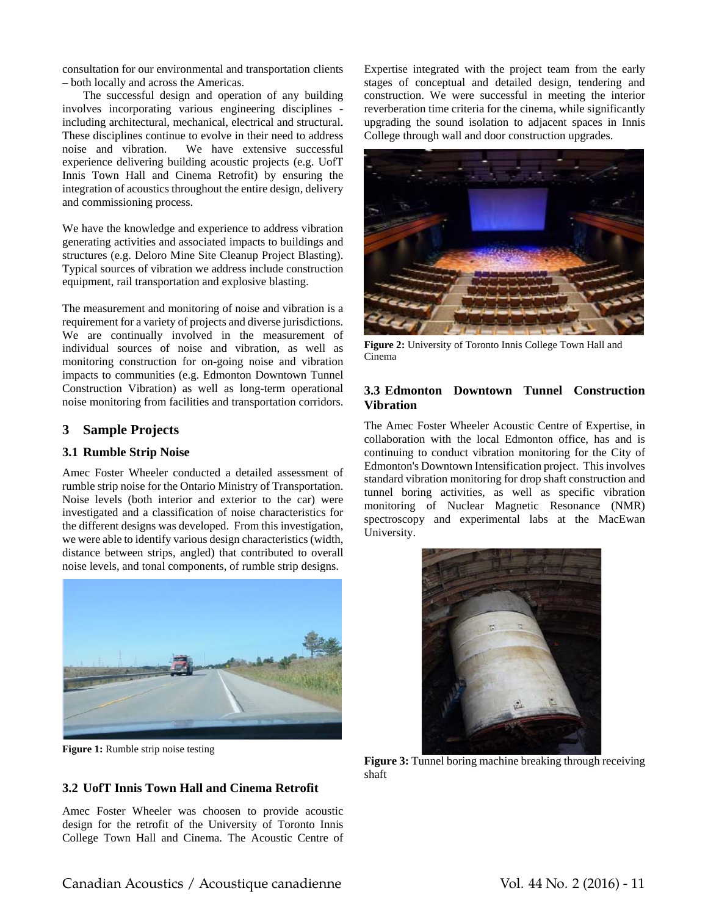consultation for our environmental and transportation clients – both locally and across the Americas.

 The successful design and operation of any building involves incorporating various engineering disciplines including architectural, mechanical, electrical and structural. These disciplines continue to evolve in their need to address noise and vibration. We have extensive successful experience delivering building acoustic projects (e.g. UofT Innis Town Hall and Cinema Retrofit) by ensuring the integration of acoustics throughout the entire design, delivery and commissioning process.

We have the knowledge and experience to address vibration generating activities and associated impacts to buildings and structures (e.g. Deloro Mine Site Cleanup Project Blasting). Typical sources of vibration we address include construction equipment, rail transportation and explosive blasting.

The measurement and monitoring of noise and vibration is a requirement for a variety of projects and diverse jurisdictions. We are continually involved in the measurement of individual sources of noise and vibration, as well as monitoring construction for on-going noise and vibration impacts to communities (e.g. Edmonton Downtown Tunnel Construction Vibration) as well as long-term operational noise monitoring from facilities and transportation corridors.

### **3 Sample Projects**

### **3.1 Rumble Strip Noise**

Amec Foster Wheeler conducted a detailed assessment of rumble strip noise for the Ontario Ministry of Transportation. Noise levels (both interior and exterior to the car) were investigated and a classification of noise characteristics for the different designs was developed. From this investigation, we were able to identify various design characteristics (width, distance between strips, angled) that contributed to overall noise levels, and tonal components, of rumble strip designs.



**Figure 1:** Rumble strip noise testing

### **3.2 UofT Innis Town Hall and Cinema Retrofit**

Amec Foster Wheeler was choosen to provide acoustic design for the retrofit of the University of Toronto Innis College Town Hall and Cinema. The Acoustic Centre of Expertise integrated with the project team from the early stages of conceptual and detailed design, tendering and construction. We were successful in meeting the interior reverberation time criteria for the cinema, while significantly upgrading the sound isolation to adjacent spaces in Innis College through wall and door construction upgrades.



**Figure 2:** University of Toronto Innis College Town Hall and Cinema

### **3.3 Edmonton Downtown Tunnel Construction Vibration**

The Amec Foster Wheeler Acoustic Centre of Expertise, in collaboration with the local Edmonton office, has and is continuing to conduct vibration monitoring for the City of Edmonton's Downtown Intensification project. This involves standard vibration monitoring for drop shaft construction and tunnel boring activities, as well as specific vibration monitoring of Nuclear Magnetic Resonance (NMR) spectroscopy and experimental labs at the MacEwan University.



**Figure 3:** Tunnel boring machine breaking through receiving shaft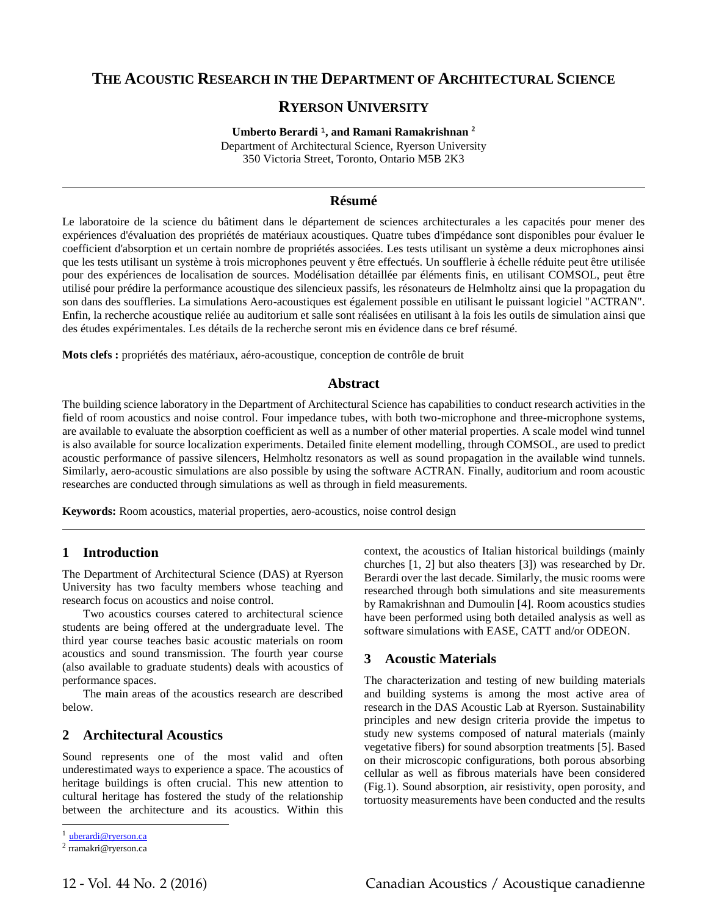# **THE ACOUSTIC RESEARCH IN THE DEPARTMENT OF ARCHITECTURAL SCIENCE**

## **RYERSON UNIVERSITY**

**Umberto Berardi <sup>1</sup>, and Ramani Ramakrishnan <sup>2</sup>** Department of Architectural Science, Ryerson University 350 Victoria Street, Toronto, Ontario M5B 2K3

### **Résumé**

Le laboratoire de la science du bâtiment dans le département de sciences architecturales a les capacités pour mener des expériences d'évaluation des propriétés de matériaux acoustiques. Quatre tubes d'impédance sont disponibles pour évaluer le coefficient d'absorption et un certain nombre de propriétés associées. Les tests utilisant un système a deux microphones ainsi que les tests utilisant un système à trois microphones peuvent y être effectués. Un soufflerie à échelle réduite peut être utilisée pour des expériences de localisation de sources. Modélisation détaillée par éléments finis, en utilisant COMSOL, peut être utilisé pour prédire la performance acoustique des silencieux passifs, les résonateurs de Helmholtz ainsi que la propagation du son dans des souffleries. La simulations Aero-acoustiques est également possible en utilisant le puissant logiciel "ACTRAN". Enfin, la recherche acoustique reliée au auditorium et salle sont réalisées en utilisant à la fois les outils de simulation ainsi que des études expérimentales. Les détails de la recherche seront mis en évidence dans ce bref résumé.

**Mots clefs :** propriétés des matériaux, aéro-acoustique, conception de contrôle de bruit

#### **Abstract**

The building science laboratory in the Department of Architectural Science has capabilities to conduct research activities in the field of room acoustics and noise control. Four impedance tubes, with both two-microphone and three-microphone systems, are available to evaluate the absorption coefficient as well as a number of other material properties. A scale model wind tunnel is also available for source localization experiments. Detailed finite element modelling, through COMSOL, are used to predict acoustic performance of passive silencers, Helmholtz resonators as well as sound propagation in the available wind tunnels. Similarly, aero-acoustic simulations are also possible by using the software ACTRAN. Finally, auditorium and room acoustic researches are conducted through simulations as well as through in field measurements.

**Keywords:** Room acoustics, material properties, aero-acoustics, noise control design

#### **1 Introduction**

The Department of Architectural Science (DAS) at Ryerson University has two faculty members whose teaching and research focus on acoustics and noise control.

Two acoustics courses catered to architectural science students are being offered at the undergraduate level. The third year course teaches basic acoustic materials on room acoustics and sound transmission. The fourth year course (also available to graduate students) deals with acoustics of performance spaces.

The main areas of the acoustics research are described below.

### **2 Architectural Acoustics**

Sound represents one of the most valid and often underestimated ways to experience a space. The acoustics of heritage buildings is often crucial. This new attention to cultural heritage has fostered the study of the relationship between the architecture and its acoustics. Within this

l

context, the acoustics of Italian historical buildings (mainly churches [1, 2] but also theaters [3]) was researched by Dr. Berardi over the last decade. Similarly, the music rooms were researched through both simulations and site measurements by Ramakrishnan and Dumoulin [4]. Room acoustics studies have been performed using both detailed analysis as well as software simulations with EASE, CATT and/or ODEON.

## **3 Acoustic Materials**

The characterization and testing of new building materials and building systems is among the most active area of research in the DAS Acoustic Lab at Ryerson. Sustainability principles and new design criteria provide the impetus to study new systems composed of natural materials (mainly vegetative fibers) for sound absorption treatments [5]. Based on their microscopic configurations, both porous absorbing cellular as well as fibrous materials have been considered (Fig.1). Sound absorption, air resistivity, open porosity, and tortuosity measurements have been conducted and the results

<sup>1</sup> uberardi@ryerson.ca

<sup>2</sup> rramakri@ryerson.ca